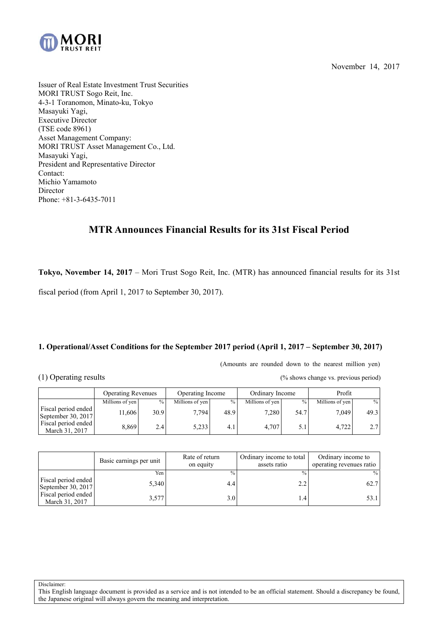November 14, 2017



Issuer of Real Estate Investment Trust Securities MORI TRUST Sogo Reit, Inc. 4-3-1 Toranomon, Minato-ku, Tokyo Masayuki Yagi, Executive Director (TSE code 8961) Asset Management Company: MORI TRUST Asset Management Co., Ltd. Masayuki Yagi, President and Representative Director Contact: Michio Yamamoto Director Phone: +81-3-6435-7011

# **MTR Announces Financial Results for its 31st Fiscal Period**

**Tokyo, November 14, 2017** – Mori Trust Sogo Reit, Inc. (MTR) has announced financial results for its 31st

fiscal period (from April 1, 2017 to September 30, 2017).

# **1. Operational/Asset Conditions for the September 2017 period (April 1, 2017 – September 30, 2017)**

(Amounts are rounded down to the nearest million yen)

(1) Operating results (% shows change vs. previous period)

|                                           | <b>Operating Revenues</b> |               | Operating Income |               | Ordinary Income |      | Profit          |      |
|-------------------------------------------|---------------------------|---------------|------------------|---------------|-----------------|------|-----------------|------|
|                                           | Millions of yen           | $\frac{0}{0}$ | Millions of yen  | $\frac{0}{0}$ | Millions of yen | $\%$ | Millions of yen | $\%$ |
| Fiscal period ended<br>September 30, 2017 | 1,606                     | 30.9          | 7.7941           | 48.9          | 7.280           | 54.7 | 7.049           | 49.3 |
| Fiscal period ended<br>March 31, 2017     | 8.869                     | 2.4           | 5,233            | 4.1           | 4.707           | 5.1  | 4.722           | 2.7  |

|                                           | Basic earnings per unit | Rate of return<br>on equity | Ordinary income to total<br>assets ratio | Ordinary income to<br>operating revenues ratio |
|-------------------------------------------|-------------------------|-----------------------------|------------------------------------------|------------------------------------------------|
|                                           | Yen <sub>1</sub>        | $\frac{0}{0}$               | $\frac{0}{0}$                            | $\frac{0}{0}$                                  |
| Fiscal period ended<br>September 30, 2017 | 5,340                   | 4.4                         | 2.2                                      | 62.7                                           |
| Fiscal period ended<br>March 31, 2017     | 3,577                   | 3.0                         | $4.4^{\circ}$                            |                                                |

Disclaimer:

This English language document is provided as a service and is not intended to be an official statement. Should a discrepancy be found, the Japanese original will always govern the meaning and interpretation.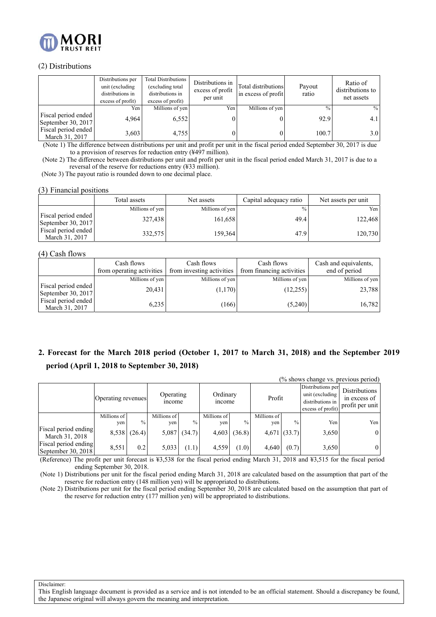

### (2) Distributions

|                                           | Distributions per<br>unit (excluding<br>distributions in<br>excess of profit) | Total Distributions<br>(excluding total<br>distributions in<br>excess of profit) | Distributions in<br>excess of profit<br>per unit | Total distributions<br>in excess of profit | Payout<br>ratio | Ratio of<br>distributions to<br>net assets |
|-------------------------------------------|-------------------------------------------------------------------------------|----------------------------------------------------------------------------------|--------------------------------------------------|--------------------------------------------|-----------------|--------------------------------------------|
|                                           | Yen                                                                           | Millions of yen                                                                  | Yen                                              | Millions of yen                            | $\frac{0}{0}$   | $\frac{0}{0}$                              |
| Fiscal period ended<br>September 30, 2017 | 4.964                                                                         | 6,552                                                                            |                                                  |                                            | 92.9            | 4.1                                        |
| Fiscal period ended<br>March 31, 2017     | 3,603                                                                         | 4.755                                                                            |                                                  |                                            | 100.7           | 3.0                                        |

(Note 1) The difference between distributions per unit and profit per unit in the fiscal period ended September 30, 2017 is due to a provision of reserves for reduction entry (¥497 million).

(Note 2) The difference between distributions per unit and profit per unit in the fiscal period ended March 31, 2017 is due to a reversal of the reserve for reductions entry (¥33 million).

(Note 3) The payout ratio is rounded down to one decimal place.

### (3) Financial positions

|                                           | Total assets    | Net assets      | Capital adequacy ratio | Net assets per unit |
|-------------------------------------------|-----------------|-----------------|------------------------|---------------------|
|                                           | Millions of yen | Millions of yen | $\frac{0}{0}$          | Yen                 |
| Fiscal period ended<br>September 30, 2017 | 327,438         | 161,658         | 49.4                   | 122,468             |
| Fiscal period ended<br>March 31, 2017     | 332,575         | 159,364         | 47.9                   | 120,730             |

### (4) Cash flows

|                                           | Cash flows<br>from operating activities | Cash flows<br>from investing activities | Cash flows<br>from financing activities | Cash and equivalents,<br>end of period |
|-------------------------------------------|-----------------------------------------|-----------------------------------------|-----------------------------------------|----------------------------------------|
|                                           | Millions of yen                         | Millions of yen                         | Millions of yen                         | Millions of yen                        |
| Fiscal period ended<br>September 30, 2017 | 20,431                                  | (1,170)                                 | (12,255)                                | 23,788                                 |
| Fiscal period ended<br>March 31, 2017     | 6,235                                   | (166)                                   | (5,240)                                 | 16,782                                 |

# **2. Forecast for the March 2018 period (October 1, 2017 to March 31, 2018) and the September 2019 period (April 1, 2018 to September 30, 2018)**

|                                            |                    |               |                     |        |                    |               |                    |               |                                                                               | (% shows change vs. previous period)                    |
|--------------------------------------------|--------------------|---------------|---------------------|--------|--------------------|---------------|--------------------|---------------|-------------------------------------------------------------------------------|---------------------------------------------------------|
|                                            | Operating revenues |               | Operating<br>income |        | Ordinary<br>income |               | Profit             |               | Distributions per<br>unit (excluding<br>distributions in<br>excess of profit) | <b>Distributions</b><br>in excess of<br>profit per unit |
|                                            | Millions of<br>yen | $\frac{0}{0}$ | Millions of<br>yen  | $\%$   | Millions of<br>yen | $\frac{0}{0}$ | Millions of<br>yen | $\frac{0}{0}$ | Yen                                                                           | Yen                                                     |
| Fiscal period ending<br>March 31, 2018     |                    | 8,538 (26.4)  | 5,087               | (34.7) | 4,603              | (36.8)        |                    | 4,671(33.7)   | 3,650                                                                         | $\overline{0}$                                          |
| Fiscal period ending<br>September 30, 2018 | 8,551              | 0.2           | 5,033               | (1.1)  | 4,559              | (1.0)         | 4,640              | (0.7)         | 3,650                                                                         | $\overline{0}$                                          |

(Reference) The profit per unit forecast is ¥3,538 for the fiscal period ending March 31, 2018 and ¥3,515 for the fiscal period ending September 30, 2018.

(Note 1) Distributions per unit for the fiscal period ending March 31, 2018 are calculated based on the assumption that part of the reserve for reduction entry (148 million yen) will be appropriated to distributions.

(Note 2) Distributions per unit for the fiscal period ending September 30, 2018 are calculated based on the assumption that part of the reserve for reduction entry (177 million yen) will be appropriated to distributions.

Disclaimer: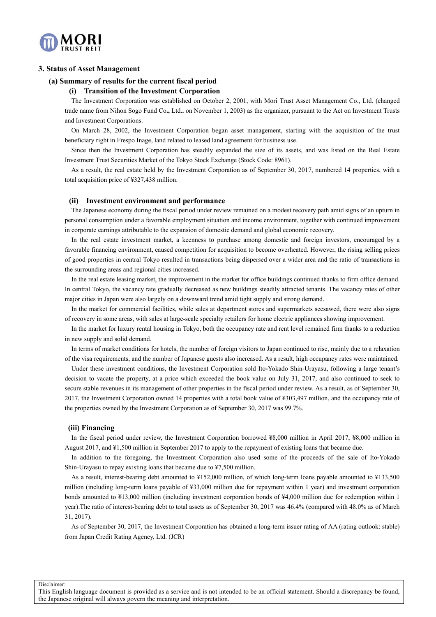

### **3. Status of Asset Management**

#### **(a) Summary of results for the current fiscal period**

### **(i) Transition of the Investment Corporation**

The Investment Corporation was established on October 2, 2001, with Mori Trust Asset Management Co., Ltd. (changed trade name from Nihon Sogo Fund Co**.,** Ltd.**.** on November 1, 2003) as the organizer, pursuant to the Act on Investment Trusts and Investment Corporations.

On March 28, 2002, the Investment Corporation began asset management, starting with the acquisition of the trust beneficiary right in Frespo Inage, land related to leased land agreement for business use.

Since then the Investment Corporation has steadily expanded the size of its assets, and was listed on the Real Estate Investment Trust Securities Market of the Tokyo Stock Exchange (Stock Code: 8961).

As a result, the real estate held by the Investment Corporation as of September 30, 2017, numbered 14 properties, with a total acquisition price of ¥327,438 million.

#### **(ii) Investment environment and performance**

The Japanese economy during the fiscal period under review remained on a modest recovery path amid signs of an upturn in personal consumption under a favorable employment situation and income environment, together with continued improvement in corporate earnings attributable to the expansion of domestic demand and global economic recovery.

In the real estate investment market, a keenness to purchase among domestic and foreign investors, encouraged by a favorable financing environment, caused competition for acquisition to become overheated. However, the rising selling prices of good properties in central Tokyo resulted in transactions being dispersed over a wider area and the ratio of transactions in the surrounding areas and regional cities increased.

In the real estate leasing market, the improvement in the market for office buildings continued thanks to firm office demand. In central Tokyo, the vacancy rate gradually decreased as new buildings steadily attracted tenants. The vacancy rates of other major cities in Japan were also largely on a downward trend amid tight supply and strong demand.

In the market for commercial facilities, while sales at department stores and supermarkets seesawed, there were also signs of recovery in some areas, with sales at large-scale specialty retailers for home electric appliances showing improvement.

In the market for luxury rental housing in Tokyo, both the occupancy rate and rent level remained firm thanks to a reduction in new supply and solid demand.

In terms of market conditions for hotels, the number of foreign visitors to Japan continued to rise, mainly due to a relaxation of the visa requirements, and the number of Japanese guests also increased. As a result, high occupancy rates were maintained.

Under these investment conditions, the Investment Corporation sold Ito**-**Yokado Shin-Urayasu, following a large tenant's decision to vacate the property, at a price which exceeded the book value on July 31, 2017, and also continued to seek to secure stable revenues in its management of other properties in the fiscal period under review. As a result, as of September 30, 2017, the Investment Corporation owned 14 properties with a total book value of ¥303,497 million, and the occupancy rate of the properties owned by the Investment Corporation as of September 30, 2017 was 99.7%.

#### **(iii) Financing**

In the fiscal period under review, the Investment Corporation borrowed ¥8,000 million in April 2017, ¥8,000 million in August 2017, and ¥1,500 million in September 2017 to apply to the repayment of existing loans that became due.

In addition to the foregoing, the Investment Corporation also used some of the proceeds of the sale of Ito**-**Yokado Shin-Urayasu to repay existing loans that became due to ¥7,500 million.

As a result, interest-bearing debt amounted to ¥152,000 million, of which long-term loans payable amounted to ¥133,500 million (including long-term loans payable of ¥33,000 million due for repayment within 1 year) and investment corporation bonds amounted to ¥13,000 million (including investment corporation bonds of ¥4,000 million due for redemption within 1 year).The ratio of interest-bearing debt to total assets as of September 30, 2017 was 46.4% (compared with 48.0% as of March 31, 2017).

As of September 30, 2017, the Investment Corporation has obtained a long-term issuer rating of AA (rating outlook: stable) from Japan Credit Rating Agency, Ltd. (JCR)

Disclaimer: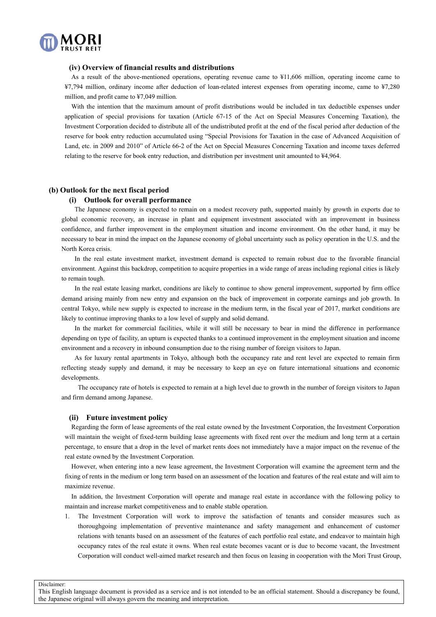

#### **(iv) Overview of financial results and distributions**

As a result of the above-mentioned operations, operating revenue came to ¥11,606 million, operating income came to ¥7,794 million, ordinary income after deduction of loan-related interest expenses from operating income, came to ¥7,280 million, and profit came to ¥7,049 million.

With the intention that the maximum amount of profit distributions would be included in tax deductible expenses under application of special provisions for taxation (Article 67-15 of the Act on Special Measures Concerning Taxation), the Investment Corporation decided to distribute all of the undistributed profit at the end of the fiscal period after deduction of the reserve for book entry reduction accumulated using "Special Provisions for Taxation in the case of Advanced Acquisition of Land, etc. in 2009 and 2010" of Article 66-2 of the Act on Special Measures Concerning Taxation and income taxes deferred relating to the reserve for book entry reduction, and distribution per investment unit amounted to ¥4,964.

### **(b) Outlook for the next fiscal period**

#### **(i) Outlook for overall performance**

The Japanese economy is expected to remain on a modest recovery path, supported mainly by growth in exports due to global economic recovery, an increase in plant and equipment investment associated with an improvement in business confidence, and further improvement in the employment situation and income environment. On the other hand, it may be necessary to bear in mind the impact on the Japanese economy of global uncertainty such as policy operation in the U.S. and the North Korea crisis.

In the real estate investment market, investment demand is expected to remain robust due to the favorable financial environment. Against this backdrop, competition to acquire properties in a wide range of areas including regional cities is likely to remain tough.

In the real estate leasing market, conditions are likely to continue to show general improvement, supported by firm office demand arising mainly from new entry and expansion on the back of improvement in corporate earnings and job growth. In central Tokyo, while new supply is expected to increase in the medium term, in the fiscal year of 2017, market conditions are likely to continue improving thanks to a low level of supply and solid demand.

In the market for commercial facilities, while it will still be necessary to bear in mind the difference in performance depending on type of facility, an upturn is expected thanks to a continued improvement in the employment situation and income environment and a recovery in inbound consumption due to the rising number of foreign visitors to Japan.

As for luxury rental apartments in Tokyo, although both the occupancy rate and rent level are expected to remain firm reflecting steady supply and demand, it may be necessary to keep an eye on future international situations and economic developments.

 The occupancy rate of hotels is expected to remain at a high level due to growth in the number of foreign visitors to Japan and firm demand among Japanese.

#### **(ii) Future investment policy**

Regarding the form of lease agreements of the real estate owned by the Investment Corporation, the Investment Corporation will maintain the weight of fixed-term building lease agreements with fixed rent over the medium and long term at a certain percentage, to ensure that a drop in the level of market rents does not immediately have a major impact on the revenue of the real estate owned by the Investment Corporation.

However, when entering into a new lease agreement, the Investment Corporation will examine the agreement term and the fixing of rents in the medium or long term based on an assessment of the location and features of the real estate and will aim to maximize revenue.

In addition, the Investment Corporation will operate and manage real estate in accordance with the following policy to maintain and increase market competitiveness and to enable stable operation.

1. The Investment Corporation will work to improve the satisfaction of tenants and consider measures such as thoroughgoing implementation of preventive maintenance and safety management and enhancement of customer relations with tenants based on an assessment of the features of each portfolio real estate, and endeavor to maintain high occupancy rates of the real estate it owns. When real estate becomes vacant or is due to become vacant, the Investment Corporation will conduct well-aimed market research and then focus on leasing in cooperation with the Mori Trust Group,

Disclaimer: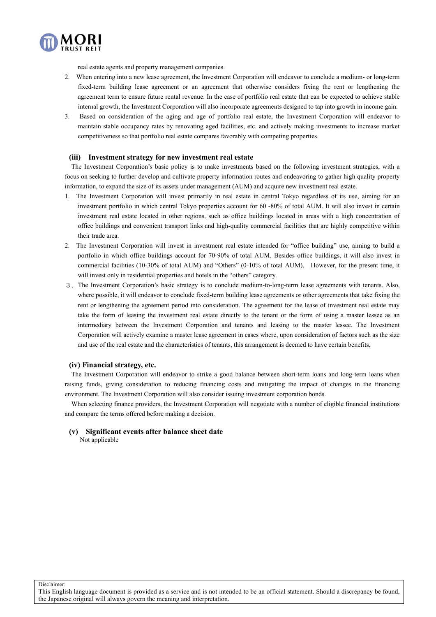

real estate agents and property management companies.

- 2. When entering into a new lease agreement, the Investment Corporation will endeavor to conclude a medium- or long-term fixed-term building lease agreement or an agreement that otherwise considers fixing the rent or lengthening the agreement term to ensure future rental revenue. In the case of portfolio real estate that can be expected to achieve stable internal growth, the Investment Corporation will also incorporate agreements designed to tap into growth in income gain.
- 3. Based on consideration of the aging and age of portfolio real estate, the Investment Corporation will endeavor to maintain stable occupancy rates by renovating aged facilities, etc. and actively making investments to increase market competitiveness so that portfolio real estate compares favorably with competing properties.

### **(iii) Investment strategy for new investment real estate**

The Investment Corporation's basic policy is to make investments based on the following investment strategies, with a focus on seeking to further develop and cultivate property information routes and endeavoring to gather high quality property information, to expand the size of its assets under management (AUM) and acquire new investment real estate.

- 1. The Investment Corporation will invest primarily in real estate in central Tokyo regardless of its use, aiming for an investment portfolio in which central Tokyo properties account for 60 -80% of total AUM. It will also invest in certain investment real estate located in other regions, such as office buildings located in areas with a high concentration of office buildings and convenient transport links and high-quality commercial facilities that are highly competitive within their trade area.
- 2. The Investment Corporation will invest in investment real estate intended for "office building" use, aiming to build a portfolio in which office buildings account for 70-90% of total AUM. Besides office buildings, it will also invest in commercial facilities (10-30% of total AUM) and "Others" (0-10% of total AUM). However, for the present time, it will invest only in residential properties and hotels in the "others" category.
- 3.The Investment Corporation's basic strategy is to conclude medium-to-long-term lease agreements with tenants. Also, where possible, it will endeavor to conclude fixed-term building lease agreements or other agreements that take fixing the rent or lengthening the agreement period into consideration. The agreement for the lease of investment real estate may take the form of leasing the investment real estate directly to the tenant or the form of using a master lessee as an intermediary between the Investment Corporation and tenants and leasing to the master lessee. The Investment Corporation will actively examine a master lease agreement in cases where, upon consideration of factors such as the size and use of the real estate and the characteristics of tenants, this arrangement is deemed to have certain benefits,

### **(iv) Financial strategy, etc.**

The Investment Corporation will endeavor to strike a good balance between short-term loans and long-term loans when raising funds, giving consideration to reducing financing costs and mitigating the impact of changes in the financing environment. The Investment Corporation will also consider issuing investment corporation bonds.

When selecting finance providers, the Investment Corporation will negotiate with a number of eligible financial institutions and compare the terms offered before making a decision.

**(v) Significant events after balance sheet date**

Not applicable

Disclaimer:

This English language document is provided as a service and is not intended to be an official statement. Should a discrepancy be found, the Japanese original will always govern the meaning and interpretation.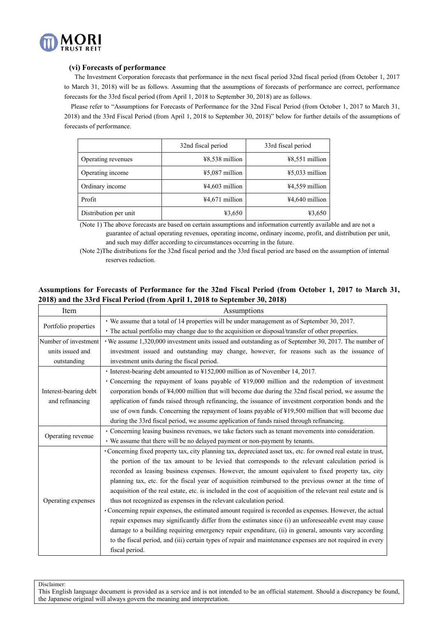

### **(vi) Forecasts of performance**

The Investment Corporation forecasts that performance in the next fiscal period 32nd fiscal period (from October 1, 2017 to March 31, 2018) will be as follows. Assuming that the assumptions of forecasts of performance are correct, performance forecasts for the 33rd fiscal period (from April 1, 2018 to September 30, 2018) are as follows.

Please refer to "Assumptions for Forecasts of Performance for the 32nd Fiscal Period (from October 1, 2017 to March 31, 2018) and the 33rd Fiscal Period (from April 1, 2018 to September 30, 2018)" below for further details of the assumptions of forecasts of performance.

|                       | 32nd fiscal period | 33rd fiscal period |
|-----------------------|--------------------|--------------------|
| Operating revenues    | $48,538$ million   | $48,551$ million   |
| Operating income      | $45,087$ million   | $45,033$ million   |
| Ordinary income       | $44,603$ million   | $44,559$ million   |
| Profit                | $44,671$ million   | $44,640$ million   |
| Distribution per unit | ¥3,650             | ¥3,650             |

(Note 1) The above forecasts are based on certain assumptions and information currently available and are not a guarantee of actual operating revenues, operating income, ordinary income, profit, and distribution per unit, and such may differ according to circumstances occurring in the future.

(Note 2)The distributions for the 32nd fiscal period and the 33rd fiscal period are based on the assumption of internal reserves reduction.

## **Assumptions for Forecasts of Performance for the 32nd Fiscal Period (from October 1, 2017 to March 31, 2018) and the 33rd Fiscal Period (from April 1, 2018 to September 30, 2018)**

| Item                  | Assumptions                                                                                                     |
|-----------------------|-----------------------------------------------------------------------------------------------------------------|
| Portfolio properties  | • We assume that a total of 14 properties will be under management as of September 30, 2017.                    |
|                       | • The actual portfolio may change due to the acquisition or disposal/transfer of other properties.              |
| Number of investment  | We assume 1,320,000 investment units issued and outstanding as of September 30, 2017. The number of             |
| units issued and      | investment issued and outstanding may change, however, for reasons such as the issuance of                      |
| outstanding           | investment units during the fiscal period.                                                                      |
|                       | · Interest-bearing debt amounted to ¥152,000 million as of November 14, 2017.                                   |
|                       | • Concerning the repayment of loans payable of ¥19,000 million and the redemption of investment                 |
| Interest-bearing debt | corporation bonds of ¥4,000 million that will become due during the 32nd fiscal period, we assume the           |
| and refinancing       | application of funds raised through refinancing, the issuance of investment corporation bonds and the           |
|                       | use of own funds. Concerning the repayment of loans payable of ¥19,500 million that will become due             |
|                       | during the 33rd fiscal period, we assume application of funds raised through refinancing.                       |
| Operating revenue     | • Concerning leasing business revenues, we take factors such as tenant movements into consideration.            |
|                       | • We assume that there will be no delayed payment or non-payment by tenants.                                    |
|                       | • Concerning fixed property tax, city planning tax, depreciated asset tax, etc. for owned real estate in trust, |
|                       | the portion of the tax amount to be levied that corresponds to the relevant calculation period is               |
|                       | recorded as leasing business expenses. However, the amount equivalent to fixed property tax, city               |
|                       | planning tax, etc. for the fiscal year of acquisition reimbursed to the previous owner at the time of           |
|                       | acquisition of the real estate, etc. is included in the cost of acquisition of the relevant real estate and is  |
| Operating expenses    | thus not recognized as expenses in the relevant calculation period.                                             |
|                       | • Concerning repair expenses, the estimated amount required is recorded as expenses. However, the actual        |
|                       | repair expenses may significantly differ from the estimates since (i) an unforeseeable event may cause          |
|                       | damage to a building requiring emergency repair expenditure, (ii) in general, amounts vary according            |
|                       | to the fiscal period, and (iii) certain types of repair and maintenance expenses are not required in every      |
|                       | fiscal period.                                                                                                  |

Disclaimer: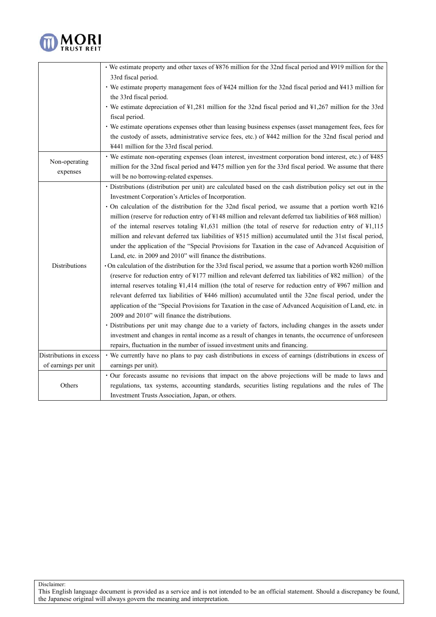

|                         | • We estimate property and other taxes of ¥876 million for the 32nd fiscal period and ¥919 million for the                      |
|-------------------------|---------------------------------------------------------------------------------------------------------------------------------|
|                         | 33rd fiscal period.                                                                                                             |
|                         | • We estimate property management fees of ¥424 million for the 32nd fiscal period and ¥413 million for                          |
|                         | the 33rd fiscal period.                                                                                                         |
|                         | • We estimate depreciation of ¥1,281 million for the 32nd fiscal period and ¥1,267 million for the 33rd                         |
|                         | fiscal period.                                                                                                                  |
|                         | • We estimate operations expenses other than leasing business expenses (asset management fees, fees for                         |
|                         | the custody of assets, administrative service fees, etc.) of ¥442 million for the 32nd fiscal period and                        |
|                         | ¥441 million for the 33rd fiscal period.                                                                                        |
|                         | • We estimate non-operating expenses (loan interest, investment corporation bond interest, etc.) of ¥485                        |
| Non-operating           | million for the 32nd fiscal period and ¥475 million yen for the 33rd fiscal period. We assume that there                        |
| expenses                | will be no borrowing-related expenses.                                                                                          |
|                         | · Distributions (distribution per unit) are calculated based on the cash distribution policy set out in the                     |
|                         | Investment Corporation's Articles of Incorporation.                                                                             |
|                         | · On calculation of the distribution for the 32nd fiscal period, we assume that a portion worth ¥216                            |
|                         | million (reserve for reduction entry of ¥148 million and relevant deferred tax liabilities of ¥68 million)                      |
|                         | of the internal reserves totaling $\frac{1}{2}$ ,631 million (the total of reserve for reduction entry of $\frac{1}{2}$ ,115    |
|                         | million and relevant deferred tax liabilities of ¥515 million) accumulated until the 31st fiscal period,                        |
|                         | under the application of the "Special Provisions for Taxation in the case of Advanced Acquisition of                            |
|                         | Land, etc. in 2009 and 2010" will finance the distributions.                                                                    |
| Distributions           | On calculation of the distribution for the 33rd fiscal period, we assume that a portion worth ¥260 million                      |
|                         | (reserve for reduction entry of ¥177 million and relevant deferred tax liabilities of ¥82 million) of the                       |
|                         | internal reserves totaling $\frac{1}{4}$ ,414 million (the total of reserve for reduction entry of $\frac{1}{2}967$ million and |
|                         | relevant deferred tax liabilities of ¥446 million) accumulated until the 32ne fiscal period, under the                          |
|                         | application of the "Special Provisions for Taxation in the case of Advanced Acquisition of Land, etc. in                        |
|                         | 2009 and 2010" will finance the distributions.                                                                                  |
|                         | · Distributions per unit may change due to a variety of factors, including changes in the assets under                          |
|                         | investment and changes in rental income as a result of changes in tenants, the occurrence of unforeseen                         |
|                         | repairs, fluctuation in the number of issued investment units and financing.                                                    |
| Distributions in excess | • We currently have no plans to pay cash distributions in excess of earnings (distributions in excess of                        |
| of earnings per unit    | earnings per unit).                                                                                                             |
|                         | · Our forecasts assume no revisions that impact on the above projections will be made to laws and                               |
| Others                  | regulations, tax systems, accounting standards, securities listing regulations and the rules of The                             |
|                         | Investment Trusts Association, Japan, or others.                                                                                |

Disclaimer: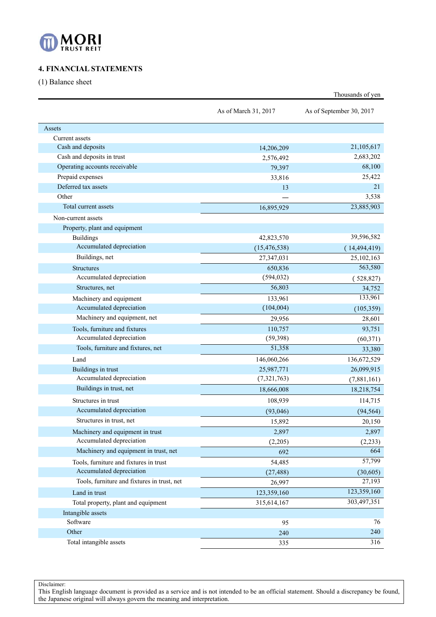

# **4. FINANCIAL STATEMENTS**

(1) Balance sheet

|                                             | As of March 31, 2017 | As of September 30, 2017 |
|---------------------------------------------|----------------------|--------------------------|
| Assets                                      |                      |                          |
| Current assets                              |                      |                          |
| Cash and deposits                           | 14,206,209           | 21,105,617               |
| Cash and deposits in trust                  | 2,576,492            | 2,683,202                |
| Operating accounts receivable               | 79,397               | 68,100                   |
| Prepaid expenses                            | 33,816               | 25,422                   |
| Deferred tax assets                         | 13                   | 21                       |
| Other                                       |                      | 3,538                    |
| Total current assets                        | 16,895,929           | 23,885,903               |
| Non-current assets                          |                      |                          |
| Property, plant and equipment               |                      |                          |
| <b>Buildings</b>                            | 42,823,570           | 39,596,582               |
| Accumulated depreciation                    | (15, 476, 538)       | (14, 494, 419)           |
| Buildings, net                              | 27,347,031           | 25,102,163               |
| <b>Structures</b>                           | 650,836              | 563,580                  |
| Accumulated depreciation                    | (594, 032)           | (528, 827)               |
| Structures, net                             | 56,803               | 34,752                   |
| Machinery and equipment                     | 133,961              | 133,961                  |
| Accumulated depreciation                    | (104,004)            | (105, 359)               |
| Machinery and equipment, net                | 29,956               | 28,601                   |
| Tools, furniture and fixtures               | 110,757              | 93,751                   |
| Accumulated depreciation                    | (59, 398)            | (60, 371)                |
| Tools, furniture and fixtures, net          | 51,358               | 33,380                   |
| Land                                        | 146,060,266          | 136,672,529              |
| Buildings in trust                          | 25,987,771           | 26,099,915               |
| Accumulated depreciation                    | (7,321,763)          | (7,881,161)              |
| Buildings in trust, net                     | 18,666,008           | 18,218,754               |
| Structures in trust                         | 108,939              | 114,715                  |
| Accumulated depreciation                    | (93,046)             | (94, 564)                |
| Structures in trust, net                    | 15,892               | 20,150                   |
| Machinery and equipment in trust            | 2,897                | 2,897                    |
| Accumulated depreciation                    | (2,205)              | (2, 233)                 |
| Machinery and equipment in trust, net       | 692                  | 664                      |
| Tools, furniture and fixtures in trust      | 54,485               | 57,799                   |
| Accumulated depreciation                    | (27, 488)            | (30,605)                 |
| Tools, furniture and fixtures in trust, net | 26,997               | 27,193                   |
| Land in trust                               | 123,359,160          | 123,359,160              |
| Total property, plant and equipment         | 315,614,167          | 303,497,351              |
| Intangible assets                           |                      |                          |
| Software                                    | 95                   | 76                       |
| Other                                       | 240                  | 240                      |
| Total intangible assets                     | 335                  | $\overline{316}$         |

Thousands of yen

Disclaimer: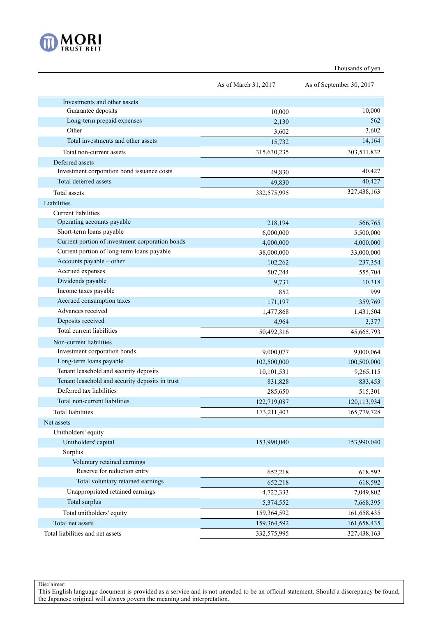

|                                                 | As of March 31, 2017 | As of September 30, 2017 |
|-------------------------------------------------|----------------------|--------------------------|
| Investments and other assets                    |                      |                          |
| Guarantee deposits                              | 10,000               | 10,000                   |
| Long-term prepaid expenses                      | 2,130                | 562                      |
| Other                                           | 3,602                | 3,602                    |
| Total investments and other assets              | 15,732               | 14,164                   |
| Total non-current assets                        | 315,630,235          | 303,511,832              |
| Deferred assets                                 |                      |                          |
| Investment corporation bond issuance costs      | 49,830               | 40,427                   |
| Total deferred assets                           | 49,830               | 40,427                   |
| <b>Total</b> assets                             | 332,575,995          | 327,438,163              |
| Liabilities                                     |                      |                          |
| <b>Current liabilities</b>                      |                      |                          |
| Operating accounts payable                      | 218,194              | 566,765                  |
| Short-term loans payable                        | 6,000,000            | 5,500,000                |
| Current portion of investment corporation bonds | 4,000,000            | 4,000,000                |
| Current portion of long-term loans payable      | 38,000,000           | 33,000,000               |
| Accounts payable – other                        | 102,262              | 237,354                  |
| Accrued expenses                                | 507,244              | 555,704                  |
| Dividends payable                               | 9,731                | 10,318                   |
| Income taxes payable                            | 852                  | 999                      |
| Accrued consumption taxes                       | 171,197              | 359,769                  |
| Advances received                               | 1,477,868            | 1,431,504                |
| Deposits received                               | 4,964                | 3,377                    |
| Total current liabilities                       | 50,492,316           | 45,665,793               |
| Non-current liabilities                         |                      |                          |
| Investment corporation bonds                    | 9,000,077            | 9,000,064                |
| Long-term loans payable                         | 102,500,000          | 100,500,000              |
| Tenant leasehold and security deposits          | 10,101,531           | 9,265,115                |
| Tenant leasehold and security deposits in trust | 831,828              | 833,453                  |
| Deferred tax liabilities                        | 285,650              | 515,301                  |
| Total non-current liabilities                   | 122,719,087          | 120,113,934              |
| <b>Total liabilities</b>                        | 173,211,403          | 165,779,728              |
| Net assets                                      |                      |                          |
| Unitholders' equity                             |                      |                          |
| Unitholders' capital                            | 153,990,040          | 153,990,040              |
| Surplus                                         |                      |                          |
| Voluntary retained earnings                     |                      |                          |
| Reserve for reduction entry                     | 652,218              | 618,592                  |
| Total voluntary retained earnings               | 652,218              | 618,592                  |
| Unappropriated retained earnings                | 4,722,333            | 7,049,802                |
| Total surplus                                   | 5,374,552            | 7,668,395                |
| Total unitholders' equity                       | 159,364,592          | 161,658,435              |
| Total net assets                                | 159,364,592          | 161,658,435              |

Total liabilities and net assets 332,575,995 327,438,163

Disclaimer:

This English language document is provided as a service and is not intended to be an official statement. Should a discrepancy be found, the Japanese original will always govern the meaning and interpretation.

# Thousands of yen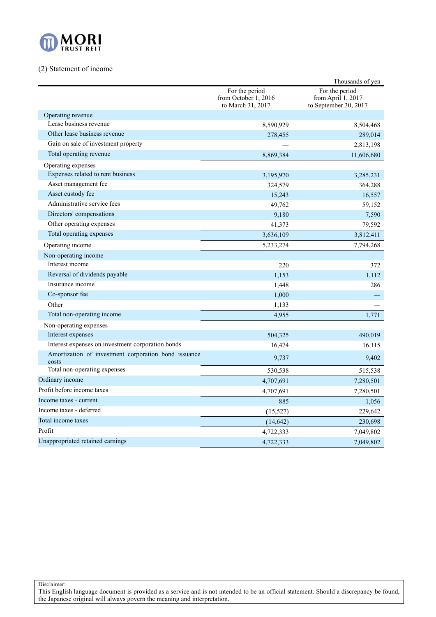

## (2) Statement of income

|                                                               |                                                             | Thousands of yen                                              |
|---------------------------------------------------------------|-------------------------------------------------------------|---------------------------------------------------------------|
|                                                               | For the period<br>from October 1, 2016<br>to March 31, 2017 | For the period<br>from April 1, 2017<br>to September 30, 2017 |
| Operating revenue                                             |                                                             |                                                               |
| Lease business revenue                                        | 8,590,929                                                   | 8,504,468                                                     |
| Other lease business revenue                                  | 278,455                                                     | 289,014                                                       |
| Gain on sale of investment property                           |                                                             | 2,813,198                                                     |
| Total operating revenue                                       | 8,869,384                                                   | 11,606,680                                                    |
| Operating expenses                                            |                                                             |                                                               |
| Expenses related to rent business                             | 3,195,970                                                   | 3,285,231                                                     |
| Asset management fee                                          | 324,579                                                     | 364,288                                                       |
| Asset custody fee                                             | 15,243                                                      | 16,557                                                        |
| Administrative service fees                                   | 49,762                                                      | 59,152                                                        |
| Directors' compensations                                      | 9,180                                                       | 7,590                                                         |
| Other operating expenses                                      | 41,373                                                      | 79,592                                                        |
| Total operating expenses                                      | 3,636,109                                                   | 3,812,411                                                     |
| Operating income                                              | 5,233,274                                                   | 7,794,268                                                     |
| Non-operating income                                          |                                                             |                                                               |
| Interest income                                               | 220                                                         | 372                                                           |
| Reversal of dividends payable                                 | 1.153                                                       | 1,112                                                         |
| Insurance income                                              | 1,448                                                       | 286                                                           |
| Co-sponsor fee                                                | 1,000                                                       |                                                               |
| Other                                                         | 1,133                                                       |                                                               |
| Total non-operating income                                    | 4,955                                                       | 1,771                                                         |
| Non-operating expenses                                        |                                                             |                                                               |
| Interest expenses                                             | 504,325                                                     | 490,019                                                       |
| Interest expenses on investment corporation bonds             | 16,474                                                      | 16,115                                                        |
| Amortization of investment corporation bond issuance<br>costs | 9,737                                                       | 9,402                                                         |
| Total non-operating expenses                                  | 530,538                                                     | 515,538                                                       |
| Ordinary income                                               | 4,707,691                                                   | 7,280,501                                                     |
| Profit before income taxes                                    | 4,707,691                                                   | 7,280,501                                                     |
| Income taxes - current                                        | 885                                                         | 1,056                                                         |
| Income taxes - deferred                                       | (15, 527)                                                   | 229,642                                                       |
| Total income taxes                                            | (14, 642)                                                   | 230,698                                                       |
| Profit                                                        | 4,722,333                                                   | 7,049,802                                                     |
| Unappropriated retained earnings                              | 4,722,333                                                   | 7,049,802                                                     |

Disclaimer: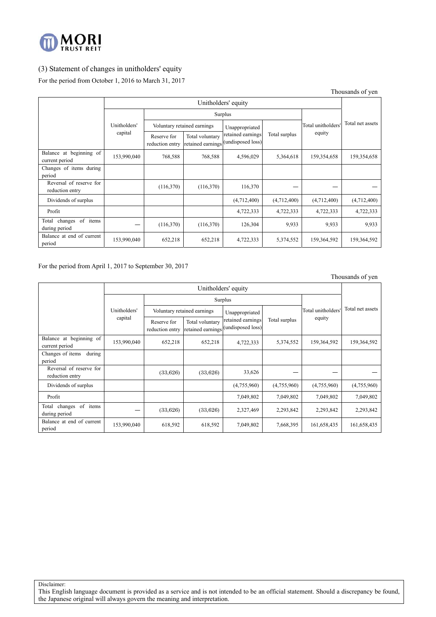

# (3) Statement of changes in unitholders' equity

For the period from October 1, 2016 to March 31, 2017

Thousands of yen

|                                            | Unitholders' equity |                                |                                      |                                        |               |                    |                  |  |
|--------------------------------------------|---------------------|--------------------------------|--------------------------------------|----------------------------------------|---------------|--------------------|------------------|--|
|                                            |                     |                                | Surplus                              |                                        |               |                    |                  |  |
|                                            | Unitholders'        |                                | Voluntary retained earnings          | Unappropriated                         |               | Total unitholders' | Total net assets |  |
|                                            | capital             | Reserve for<br>reduction entry | Total voluntary<br>retained earnings | retained earnings<br>(undisposed loss) | Total surplus | equity             |                  |  |
| Balance at beginning of<br>current period  | 153,990,040         | 768,588                        | 768,588                              | 4,596,029                              | 5,364,618     | 159,354,658        | 159,354,658      |  |
| Changes of items during<br>period          |                     |                                |                                      |                                        |               |                    |                  |  |
| Reversal of reserve for<br>reduction entry |                     | (116,370)                      | (116,370)                            | 116,370                                |               |                    |                  |  |
| Dividends of surplus                       |                     |                                |                                      | (4,712,400)                            | (4,712,400)   | (4,712,400)        | (4,712,400)      |  |
| Profit                                     |                     |                                |                                      | 4,722,333                              | 4,722,333     | 4,722,333          | 4,722,333        |  |
| Total changes of items<br>during period    |                     | (116,370)                      | (116,370)                            | 126,304                                | 9,933         | 9,933              | 9,933            |  |
| Balance at end of current<br>period        | 153,990,040         | 652,218                        | 652,218                              | 4,722,333                              | 5,374,552     | 159,364,592        | 159,364,592      |  |

For the period from April 1, 2017 to September 30, 2017

Thousands of yen

|                                            | Unitholders' equity |                                |                                      |                                        |               |                    |                  |  |
|--------------------------------------------|---------------------|--------------------------------|--------------------------------------|----------------------------------------|---------------|--------------------|------------------|--|
|                                            |                     |                                | Surplus                              |                                        |               |                    |                  |  |
|                                            | Unitholders'        |                                | Voluntary retained earnings          | Unappropriated                         |               | Total unitholders' | Total net assets |  |
|                                            | capital             | Reserve for<br>reduction entry | Total voluntary<br>retained earnings | retained earnings<br>(undisposed loss) | Total surplus | equity             |                  |  |
| Balance at beginning of<br>current period  | 153,990,040         | 652,218                        | 652,218                              | 4,722,333                              | 5,374,552     | 159,364,592        | 159,364,592      |  |
| during<br>Changes of items<br>period       |                     |                                |                                      |                                        |               |                    |                  |  |
| Reversal of reserve for<br>reduction entry |                     | (33,626)                       | (33,626)                             | 33,626                                 |               |                    |                  |  |
| Dividends of surplus                       |                     |                                |                                      | (4,755,960)                            | (4,755,960)   | (4,755,960)        | (4,755,960)      |  |
| Profit                                     |                     |                                |                                      | 7,049,802                              | 7,049,802     | 7,049,802          | 7,049,802        |  |
| of items<br>Total changes<br>during period | (33,626)            |                                | (33,626)                             | 2,327,469                              | 2,293,842     | 2,293,842          | 2,293,842        |  |
| Balance at end of current<br>period        | 153,990,040         | 618,592                        | 618,592                              | 7,049,802                              | 7,668,395     | 161,658,435        | 161,658,435      |  |

Disclaimer: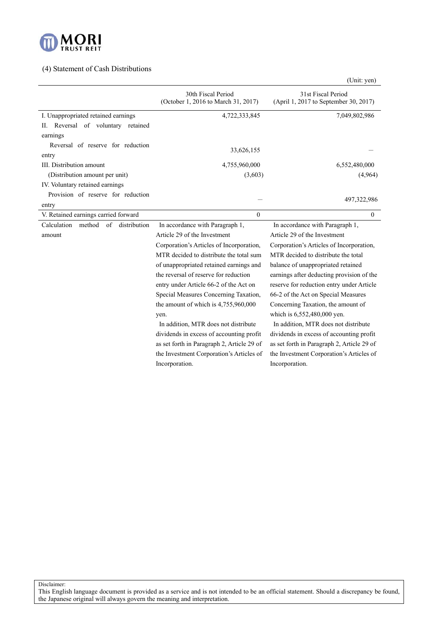

## (4) Statement of Cash Distributions

|                                                     | 30th Fiscal Period<br>(October 1, 2016 to March 31, 2017) | 31st Fiscal Period<br>(April 1, 2017 to September 30, 2017) |  |  |
|-----------------------------------------------------|-----------------------------------------------------------|-------------------------------------------------------------|--|--|
| I. Unappropriated retained earnings                 | 4,722,333,845                                             | 7,049,802,986                                               |  |  |
| II. Reversal of voluntary retained                  |                                                           |                                                             |  |  |
| earnings                                            |                                                           |                                                             |  |  |
| Reversal of reserve for reduction                   |                                                           |                                                             |  |  |
| entry                                               | 33,626,155                                                |                                                             |  |  |
| III. Distribution amount                            | 4,755,960,000                                             | 6,552,480,000                                               |  |  |
| (Distribution amount per unit)                      | (3,603)                                                   | (4,964)                                                     |  |  |
| IV. Voluntary retained earnings                     |                                                           |                                                             |  |  |
| Provision of reserve for reduction                  |                                                           |                                                             |  |  |
| entry                                               |                                                           | 497, 322, 986                                               |  |  |
| V. Retained earnings carried forward                | $\theta$                                                  | $\mathbf{0}$                                                |  |  |
| Calculation<br>method<br>$\sigma$ f<br>distribution | In accordance with Paragraph 1,                           | In accordance with Paragraph 1,                             |  |  |
| amount                                              | Article 29 of the Investment                              | Article 29 of the Investment                                |  |  |
|                                                     | Corporation's Articles of Incorporation,                  | Corporation's Articles of Incorporation,                    |  |  |
|                                                     | MTR decided to distribute the total sum                   | MTR decided to distribute the total                         |  |  |
|                                                     | of unappropriated retained earnings and                   | balance of unappropriated retained                          |  |  |
|                                                     | the reversal of reserve for reduction                     | earnings after deducting provision of the                   |  |  |
|                                                     | entry under Article 66-2 of the Act on                    | reserve for reduction entry under Article                   |  |  |
|                                                     | Special Measures Concerning Taxation,                     | 66-2 of the Act on Special Measures                         |  |  |
|                                                     | the amount of which is 4,755,960,000                      | Concerning Taxation, the amount of                          |  |  |
|                                                     | yen.                                                      | which is 6,552,480,000 yen.                                 |  |  |
|                                                     | In addition, MTR does not distribute                      | In addition, MTR does not distribute                        |  |  |
|                                                     | dividends in excess of accounting profit                  | dividends in excess of accounting profit                    |  |  |
|                                                     | as set forth in Paragraph 2, Article 29 of                | as set forth in Paragraph 2, Article 29 of                  |  |  |
|                                                     | the Investment Corporation's Articles of                  | the Investment Corporation's Articles of                    |  |  |
|                                                     | Incorporation.                                            | Incorporation.                                              |  |  |

Disclaimer:

This English language document is provided as a service and is not intended to be an official statement. Should a discrepancy be found, the Japanese original will always govern the meaning and interpretation.

(Unit: yen)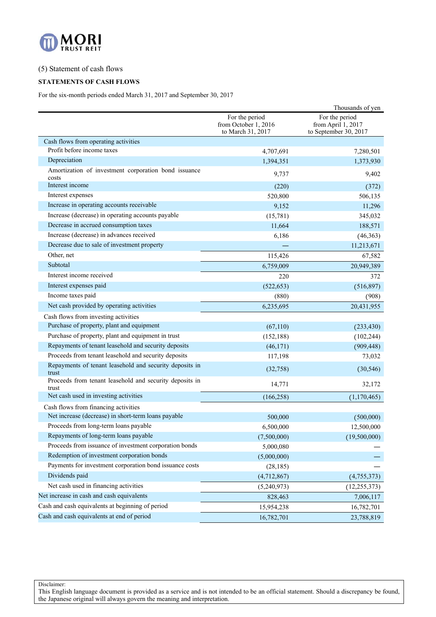

## (5) Statement of cash flows

### **STATEMENTS OF CASH FLOWS**

For the six-month periods ended March 31, 2017 and September 30, 2017

|                                                                                             |                                                             | Thousands of yen                                              |
|---------------------------------------------------------------------------------------------|-------------------------------------------------------------|---------------------------------------------------------------|
|                                                                                             | For the period<br>from October 1, 2016<br>to March 31, 2017 | For the period<br>from April 1, 2017<br>to September 30, 2017 |
| Cash flows from operating activities                                                        |                                                             |                                                               |
| Profit before income taxes                                                                  | 4,707,691                                                   | 7,280,501                                                     |
| Depreciation                                                                                | 1,394,351                                                   | 1,373,930                                                     |
| Amortization of investment corporation bond issuance<br>costs                               | 9,737                                                       | 9,402                                                         |
| Interest income                                                                             | (220)                                                       | (372)                                                         |
| Interest expenses                                                                           | 520,800                                                     | 506,135                                                       |
| Increase in operating accounts receivable                                                   | 9,152                                                       | 11,296                                                        |
| Increase (decrease) in operating accounts payable                                           | (15,781)                                                    | 345,032                                                       |
| Decrease in accrued consumption taxes                                                       | 11,664                                                      | 188,571                                                       |
| Increase (decrease) in advances received                                                    | 6,186                                                       | (46, 363)                                                     |
| Decrease due to sale of investment property                                                 |                                                             | 11,213,671                                                    |
| Other, net                                                                                  | 115,426                                                     | 67,582                                                        |
| Subtotal                                                                                    | 6,759,009                                                   | 20,949,389                                                    |
| Interest income received                                                                    | 220                                                         | 372                                                           |
| Interest expenses paid                                                                      | (522, 653)                                                  | (516, 897)                                                    |
| Income taxes paid                                                                           | (880)                                                       | (908)                                                         |
| Net cash provided by operating activities                                                   | 6,235,695                                                   | 20,431,955                                                    |
| Cash flows from investing activities                                                        |                                                             |                                                               |
| Purchase of property, plant and equipment                                                   | (67,110)                                                    | (233, 430)                                                    |
| Purchase of property, plant and equipment in trust                                          | (152, 188)                                                  | (102, 244)                                                    |
| Repayments of tenant leasehold and security deposits                                        | (46, 171)                                                   | (909, 448)                                                    |
| Proceeds from tenant leasehold and security deposits                                        | 117,198                                                     | 73,032                                                        |
| Repayments of tenant leasehold and security deposits in<br>trust                            | (32,758)                                                    | (30, 546)                                                     |
| Proceeds from tenant leasehold and security deposits in<br>trust                            | 14,771                                                      | 32,172                                                        |
| Net cash used in investing activities                                                       | (166, 258)                                                  | (1,170,465)                                                   |
| Cash flows from financing activities<br>Net increase (decrease) in short-term loans payable | 500,000                                                     | (500,000)                                                     |
| Proceeds from long-term loans payable                                                       | 6,500,000                                                   | 12,500,000                                                    |
| Repayments of long-term loans payable                                                       | (7,500,000)                                                 | (19,500,000)                                                  |
| Proceeds from issuance of investment corporation bonds                                      | 5,000,080                                                   |                                                               |
| Redemption of investment corporation bonds                                                  | (5,000,000)                                                 |                                                               |
| Payments for investment corporation bond issuance costs                                     | (28, 185)                                                   |                                                               |
| Dividends paid                                                                              | (4,712,867)                                                 | (4,755,373)                                                   |
| Net cash used in financing activities                                                       | (5,240,973)                                                 | (12, 255, 373)                                                |
| Net increase in cash and cash equivalents                                                   | 828,463                                                     | 7,006,117                                                     |
| Cash and cash equivalents at beginning of period                                            | 15,954,238                                                  | 16,782,701                                                    |
| Cash and cash equivalents at end of period                                                  | 16,782,701                                                  | 23,788,819                                                    |
|                                                                                             |                                                             |                                                               |

Disclaimer: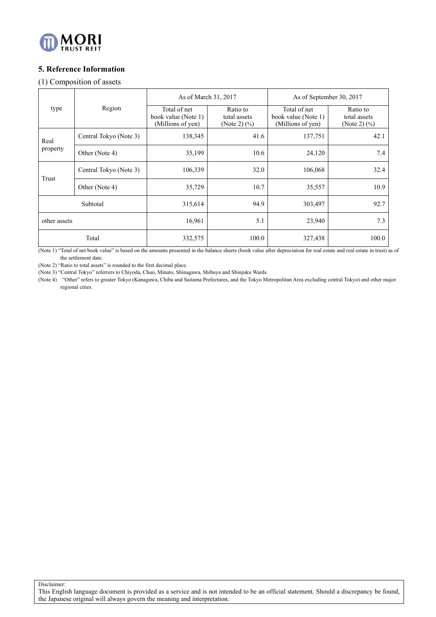

# **5. Reference Information**

## (1) Composition of assets

|              |                        |                                                          |                                                                                                                                                                                                                                                                                                                                                                                                             | As of September 30, 2017            |  |  |  |
|--------------|------------------------|----------------------------------------------------------|-------------------------------------------------------------------------------------------------------------------------------------------------------------------------------------------------------------------------------------------------------------------------------------------------------------------------------------------------------------------------------------------------------------|-------------------------------------|--|--|--|
| type         | Region                 | Total of net<br>book value (Note 1)<br>(Millions of yen) | As of March 31, 2017<br>Ratio to<br>Total of net<br>Ratio to<br>book value (Note 1)<br>total assets<br>total assets<br>(Millions of yen)<br>(Note 2) $(\% )$<br>(Note 2) $(\%)$<br>138,345<br>41.6<br>137,751<br>42.1<br>35,199<br>10.6<br>24,120<br>106,339<br>32.0<br>106,068<br>35,729<br>10.7<br>35,557<br>92.7<br>94.9<br>315,614<br>303,497<br>16,961<br>5.1<br>23,940<br>100.0<br>332,575<br>327,438 |                                     |  |  |  |
| Real         | Central Tokyo (Note 3) |                                                          |                                                                                                                                                                                                                                                                                                                                                                                                             |                                     |  |  |  |
| property     | Other (Note 4)         |                                                          |                                                                                                                                                                                                                                                                                                                                                                                                             | 7.4<br>32.4<br>10.9<br>7.3<br>100.0 |  |  |  |
|              | Central Tokyo (Note 3) |                                                          |                                                                                                                                                                                                                                                                                                                                                                                                             |                                     |  |  |  |
| Trust        | Other (Note 4)         |                                                          |                                                                                                                                                                                                                                                                                                                                                                                                             |                                     |  |  |  |
| Subtotal     |                        |                                                          |                                                                                                                                                                                                                                                                                                                                                                                                             |                                     |  |  |  |
| other assets |                        |                                                          |                                                                                                                                                                                                                                                                                                                                                                                                             |                                     |  |  |  |
|              | Total                  |                                                          |                                                                                                                                                                                                                                                                                                                                                                                                             |                                     |  |  |  |

(Note 1) "Total of net book value" is based on the amounts presented in the balance sheets (book value after depreciation for real estate and real estate in trust) as of the settlement date.

(Note 2) "Ratio to total assets" is rounded to the first decimal place.

(Note 3) "Central Tokyo" referrers to Chiyoda, Chuo, Minato, Shinagawa, Shibuya and Shinjuku Wards.

(Note 4) "Other" refers to greater Tokyo (Kanagawa, Chiba and Saitama Prefectures, and the Tokyo Metropolitan Area excluding central Tokyo) and other major regional cities.

Disclaimer: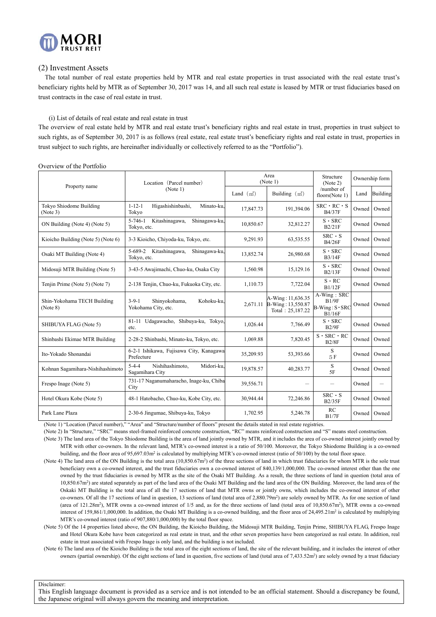

### (2) Investment Assets

The total number of real estate properties held by MTR and real estate properties in trust associated with the real estate trust's beneficiary rights held by MTR as of September 30, 2017 was 14, and all such real estate is leased by MTR or trust fiduciaries based on trust contracts in the case of real estate in trust.

### (i) List of details of real estate and real estate in trust

The overview of real estate held by MTR and real estate trust's beneficiary rights and real estate in trust, properties in trust subject to such rights, as of September 30, 2017 is as follows (real estate, real estate trust's beneficiary rights and real estate in trust, properties in trust subject to such rights, are hereinafter individually or collectively referred to as the "Portfolio").

| Property name                           | Location (Parcel number)                                          |             | Area<br>(Note 1)                                           | Structure<br>(Note 2)                                   |       | Ownership form  |
|-----------------------------------------|-------------------------------------------------------------------|-------------|------------------------------------------------------------|---------------------------------------------------------|-------|-----------------|
|                                         | (Note 1)                                                          | Land $(m2)$ | Building $(m2)$                                            | /number of<br>floors(Note 1)                            | Land  | <b>Building</b> |
| Tokyo Shiodome Building<br>(Note 3)     | $1 - 12 - 1$<br>Higashishinbashi,<br>Minato-ku.<br>Tokyo          | 17,847.73   | 191,394.06                                                 | $SRC \cdot RC \cdot S$<br><b>B4/37F</b>                 | Owned | Owned           |
| ON Building (Note 4) (Note 5)           | $5 - 746 - 1$<br>Kitashinagawa,<br>Shinagawa-ku,<br>Tokyo, etc.   | 10,850.67   | 32,812.27                                                  | $S \cdot$ SRC<br>B2/21F                                 | Owned | Owned           |
| Kioicho Building (Note 5) (Note 6)      | 3-3 Kioicho, Chiyoda-ku, Tokyo, etc.                              | 9,291.93    | 63,535.55                                                  | $SRC \cdot S$<br><b>B4/26F</b>                          | Owned | Owned           |
| Osaki MT Building (Note 4)              | 5-689-2<br>Kitashinagawa,<br>Shinagawa-ku.<br>Tokyo, etc.         | 13,852.74   | 26,980.68                                                  | $S \cdot$ SRC<br><b>B3/14F</b>                          | Owned | Owned           |
| Midosuji MTR Building (Note 5)          | 3-43-5 Awajimachi, Chuo-ku, Osaka City                            | 1,560.98    | 15,129.16                                                  | $S \cdot$ SRC<br>B2/13F                                 | Owned | Owned           |
| Tenjin Prime (Note 5) (Note 7)          | 2-138 Tenjin, Chuo-ku, Fukuoka City, etc.                         | 1,110.73    | 7,722.04                                                   | $S \cdot RC$<br>B1/12F                                  | Owned | Owned           |
| Shin-Yokohama TECH Building<br>(Note 8) | $3 - 9 - 1$<br>Shinyokohama,<br>Kohoku-ku.<br>Yokohama City, etc. | 2,671.11    | A-Wing: 11,636.35<br>B-Wing: 13,550.87<br>Total: 25,187.22 | A-Wing: SRC<br>B1/9F<br>$B-Wing: S \cdot SRC$<br>B1/16F | Owned | Owned           |
| SHIBUYA FLAG (Note 5)                   | 81-11 Udagawacho, Shibuya-ku, Tokyo,<br>etc.                      | 1,026.44    | 7,766.49                                                   | $S \cdot SRC$<br>B2/9F                                  | Owned | Owned           |
| Shinbashi Ekimae MTR Building           | 2-28-2 Shinbashi, Minato-ku, Tokyo, etc.                          | 1.069.88    | 7,820.45                                                   | $S \cdot$ SRC $\cdot$ RC<br>B2/8F                       | Owned | Owned           |
| Ito-Yokado Shonandai                    | 6-2-1 Ishikawa, Fujisawa City, Kanagawa<br>Prefecture             | 35,209.93   | 53,393.66                                                  | S<br>5F                                                 | Owned | Owned           |
| Kohnan Sagamihara-Nishihashimoto        | $5 - 4 - 4$<br>Nishihashimoto,<br>Midori-ku.<br>Sagamihara City   | 19,878.57   | 40,283.77                                                  | S<br>5F                                                 | Owned | Owned           |
| Frespo Inage (Note 5)                   | 731-17 Naganumaharacho, Inage-ku, Chiba<br>City                   | 39,556.71   |                                                            |                                                         | Owned | —               |
| Hotel Okura Kobe (Note 5)               | 48-1 Hatobacho, Chuo-ku, Kobe City, etc.                          | 30,944.44   | 72,246.86                                                  | $SRC \cdot S$<br>B2/35F                                 | Owned | Owned           |
| Park Lane Plaza                         | 2-30-6 Jingumae, Shibuya-ku, Tokyo                                | 1,702.95    | 5.246.78                                                   | RC<br>B1/7F                                             | Owned | Owned           |

Overview of the Portfolio

(Note 1) "Location (Parcel number)," "Area" and "Structure/number of floors" present the details stated in real estate registries.

(Note 2) In "Structure," "SRC" means steel-framed reinforced concrete construction, "RC" means reinforced construction and "S" means steel construction.

(Note 3) The land area of the Tokyo Shiodome Building is the area of land jointly owned by MTR, and it includes the area of co-owned interest jointly owned by MTR with other co-owners. In the relevant land, MTR's co-owned interest is a ratio of 50/100. Moreover, the Tokyo Shiodome Building is a co-owned building, and the floor area of 95,697.03m<sup>2</sup> is calculated by multiplying MTR's co-owned interest (ratio of 50/100) by the total floor space.

(Note 4) The land area of the ON Building is the total area (10,850.67m<sup>2</sup>) of the three sections of land in which trust fiduciaries for whom MTR is the sole trust beneficiary own a co-owned interest, and the trust fiduciaries own a co-owned interest of 840,139/1,000,000. The co-owned interest other than the one owned by the trust fiduciaries is owned by MTR as the site of the Osaki MT Building. As a result, the three sections of land in question (total area of 10,850.67m2) are stated separately as part of the land area of the Osaki MT Building and the land area of the ON Building. Moreover, the land area of the Oskaki MT Building is the total area of all the 17 sections of land that MTR owns or jointly owns, which includes the co-owned interest of other co-owners. Of all the 17 sections of land in question, 13 sections of land (total area of 2,880.79m<sup>2</sup>) are solely owned by MTR. As for one section of land (area of  $121.28m^2$ ), MTR owns a co-owned interest of  $1/5$  and, as for the three sections of land (total area of  $10.850.67m^2$ ), MTR owns a co-owned interest of 159,861/1,000,000. In addition, the Osaki MT Building is a co-owned building, and the floor area of  $24.495.21m^2$  is calculated by multiplying MTR's co-owned interest (ratio of 907,880/1,000,000) by the total floor space.

(Note 5) Of the 14 properties listed above, the ON Building, the Kioicho Building, the Midosuji MTR Building, Tenjin Prime, SHIBUYA FLAG, Frespo Inage and Hotel Okura Kobe have been categorized as real estate in trust, and the other seven properties have been categorized as real estate. In addition, real estate in trust associated with Frespo Inage is only land, and the building is not included.

(Note 6) The land area of the Kioicho Building is the total area of the eight sections of land, the site of the relevant building, and it includes the interest of other owners (partial ownership). Of the eight sections of land in question, five sections of land (total area of 7,433.52m<sup>2</sup>) are solely owned by a trust fiduciary

Disclaimer: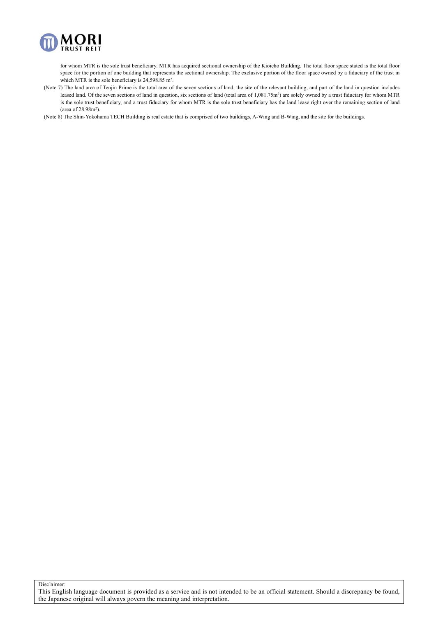

for whom MTR is the sole trust beneficiary. MTR has acquired sectional ownership of the Kioicho Building. The total floor space stated is the total floor space for the portion of one building that represents the sectional ownership. The exclusive portion of the floor space owned by a fiduciary of the trust in which MTR is the sole beneficiary is 24,598.85 m<sup>2</sup>.

(Note 7) The land area of Tenjin Prime is the total area of the seven sections of land, the site of the relevant building, and part of the land in question includes leased land. Of the seven sections of land in question, six sections of land (total area of 1,081.75m<sup>2</sup>) are solely owned by a trust fiduciary for whom MTR is the sole trust beneficiary, and a trust fiduciary for whom MTR is the sole trust beneficiary has the land lease right over the remaining section of land (area of  $28.98$ m<sup>2</sup>).

(Note 8) The Shin-Yokohama TECH Building is real estate that is comprised of two buildings, A-Wing and B-Wing, and the site for the buildings.

Disclaimer: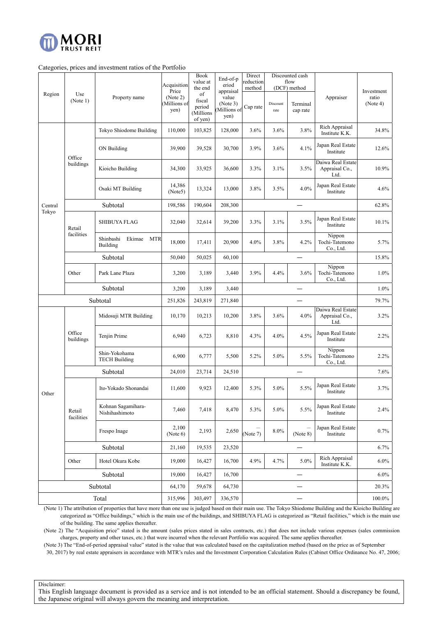

### Categories, prices and investment ratios of the Portfolio

|                  |                      |                                               | Acquisition                              | Book<br>value at                                          | End-of-p<br>eriod                                     | Direct<br>reduction |                  | Discounted cash<br>flow              |                                             |                                 |
|------------------|----------------------|-----------------------------------------------|------------------------------------------|-----------------------------------------------------------|-------------------------------------------------------|---------------------|------------------|--------------------------------------|---------------------------------------------|---------------------------------|
| Region           | Use<br>(Note 1)      | Property name                                 | Price<br>(Note 2)<br>Millions of<br>yen) | the end<br>of<br>fiscal<br>period<br>(Millions<br>of yen) | appraisal<br>value<br>(Note 3)<br>Millions of<br>yen) | method<br>Cap rate  | Discount<br>rate | (DCF) method<br>Terminal<br>cap rate | Appraiser                                   | Investment<br>ratio<br>(Note 4) |
|                  |                      | Tokyo Shiodome Building                       | 110,000                                  | 103,825                                                   | 128,000                                               | 3.6%                | 3.6%             | 3.8%                                 | Rich Appraisal<br>Institute K.K.            | 34.8%                           |
|                  | Office               | ON Building                                   | 39,900                                   | 39,528                                                    | 30,700                                                | 3.9%                | 3.6%             | 4.1%                                 | Japan Real Estate<br>Institute              | 12.6%                           |
|                  | buildings            | Kioicho Building                              | 34,300                                   | 33,925                                                    | 36,600                                                | 3.3%                | 3.1%             | 3.5%                                 | Daiwa Real Estate<br>Appraisal Co.,<br>Ltd. | 10.9%                           |
|                  |                      | Osaki MT Building                             | 14,386<br>(Note5)                        | 13,324                                                    | 13,000                                                | 3.8%                | 3.5%             | 4.0%                                 | Japan Real Estate<br>Institute              | 4.6%                            |
| Central<br>Tokyo |                      | Subtotal                                      | 198,586                                  | 190,604                                                   | 208,300                                               |                     |                  | $\overline{\phantom{0}}$             |                                             | 62.8%                           |
|                  | Retail               | <b>SHIBUYA FLAG</b>                           | 32,040                                   | 32,614                                                    | 39,200                                                | 3.3%                | 3.1%             | 3.5%                                 | Japan Real Estate<br>Institute              | 10.1%                           |
|                  | facilities           | Shinbashi<br>Ekimae<br><b>MTR</b><br>Building | 18,000                                   | 17,411                                                    | 20,900                                                | 4.0%                | 3.8%             | 4.2%                                 | Nippon<br>Tochi-Tatemono<br>Co., Ltd.       | 5.7%                            |
|                  |                      | Subtotal                                      | 50,040                                   | 50,025                                                    | 60,100                                                |                     |                  |                                      |                                             | 15.8%                           |
|                  | Other                | Park Lane Plaza                               | 3,200                                    | 3,189                                                     | 3,440                                                 | 3.9%                | 4.4%             | 3.6%                                 | Nippon<br>Tochi-Tatemono<br>Co., Ltd.       | 1.0%                            |
|                  |                      | Subtotal                                      | 3,200                                    | 3,189                                                     | 3,440                                                 |                     |                  |                                      |                                             | 1.0%                            |
|                  |                      | Subtotal                                      | 251,826                                  | 243,819                                                   | 271,840                                               |                     |                  |                                      | 79.7%                                       |                                 |
|                  |                      | Midosuji MTR Building                         | 10,170                                   | 10,213                                                    | 10,200                                                | 3.8%                | 3.6%             | 4.0%                                 | Daiwa Real Estate<br>Appraisal Co.,<br>Ltd. | 3.2%                            |
|                  | Office<br>buildings  | Tenjin Prime                                  | 6,940                                    | 6,723                                                     | 8,810                                                 | 4.3%                | 4.0%             | 4.5%                                 | Japan Real Estate<br>Institute              | 2.2%                            |
|                  |                      | Shin-Yokohama<br><b>TECH Building</b>         | 6,900                                    | 6,777                                                     | 5,500                                                 | 5.2%                | 5.0%             | 5.5%                                 | Nippon<br>Tochi-Tatemono<br>Co., Ltd.       | 2.2%                            |
|                  |                      | Subtotal                                      | 24,010                                   | 23,714                                                    | 24,510                                                |                     |                  |                                      |                                             | 7.6%                            |
| Other            |                      | Ito-Yokado Shonandai                          | 11,600                                   | 9,923                                                     | 12,400                                                | 5.3%                | 5.0%             | 5.5%                                 | Japan Real Estate<br>Institute              | 3.7%                            |
|                  | Retail<br>facilities | Kohnan Sagamihara-<br>Nishihashimoto          | 7,460                                    | 7,418                                                     | 8,470                                                 | 5.3%                | 5.0%             | 5.5%                                 | Japan Real Estate<br>Institute              | 2.4%                            |
|                  |                      | Frespo Inage                                  | 2,100<br>(Note $6$ )                     | 2,193                                                     | 2,650                                                 | (Note 7)            | 8.0%             | —<br>(Note 8)                        | Japan Real Estate<br>Institute              | 0.7%                            |
|                  |                      | Subtotal                                      | 21,160                                   | 19,535                                                    | 23,520                                                |                     |                  | —                                    |                                             | 6.7%                            |
|                  | Other                | Hotel Okura Kobe                              | 19,000                                   | 16,427                                                    | 16,700                                                | 4.9%                | 4.7%             | 5.0%                                 | Rich Appraisal<br>Institute K.K.            | $6.0\%$                         |
|                  |                      | Subtotal                                      | 19,000                                   | 16,427                                                    | 16,700                                                |                     |                  |                                      |                                             | $6.0\%$                         |
|                  |                      | Subtotal                                      | 64,170                                   | 59,678                                                    | 64,730                                                |                     |                  |                                      |                                             | 20.3%                           |
| Total            |                      | 315,996                                       | 303,497                                  | 336,570                                                   |                                                       | —                   |                  |                                      | 100.0%                                      |                                 |

(Note 1) The attribution of properties that have more than one use is judged based on their main use. The Tokyo Shiodome Building and the Kioicho Building are categorized as "Office buildings," which is the main use of the buildings, and SHIBUYA FLAG is categorized as "Retail facilities," which is the main use of the building. The same applies thereafter.

(Note 2) The "Acquisition price" stated is the amount (sales prices stated in sales contracts, etc.) that does not include various expenses (sales commission charges, property and other taxes, etc.) that were incurred when the relevant Portfolio was acquired. The same applies thereafter.

(Note 3) The "End-of-period appraisal value" stated is the value that was calculated based on the capitalization method (based on the price as of September

30, 2017) by real estate appraisers in accordance with MTR's rules and the Investment Corporation Calculation Rules (Cabinet Office Ordinance No. 47, 2006;

Disclaimer: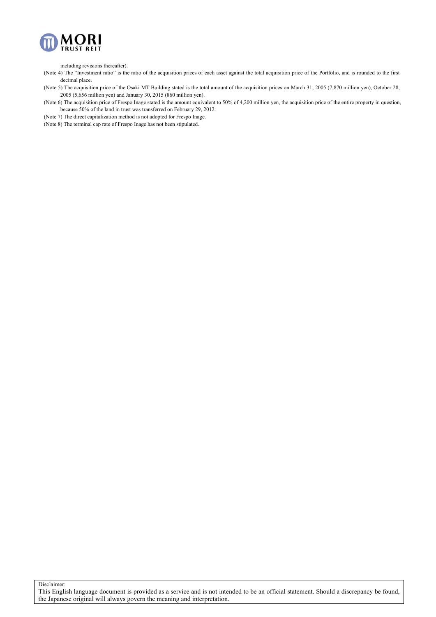

including revisions thereafter).

(Note 4) The "Investment ratio" is the ratio of the acquisition prices of each asset against the total acquisition price of the Portfolio, and is rounded to the first decimal place.

(Note 5) The acquisition price of the Osaki MT Building stated is the total amount of the acquisition prices on March 31, 2005 (7,870 million yen), October 28, 2005 (5,656 million yen) and January 30, 2015 (860 million yen).

(Note 6) The acquisition price of Frespo Inage stated is the amount equivalent to 50% of 4,200 million yen, the acquisition price of the entire property in question, because 50% of the land in trust was transferred on February 29, 2012.

(Note 7) The direct capitalization method is not adopted for Frespo Inage.

(Note 8) The terminal cap rate of Frespo Inage has not been stipulated.

Disclaimer: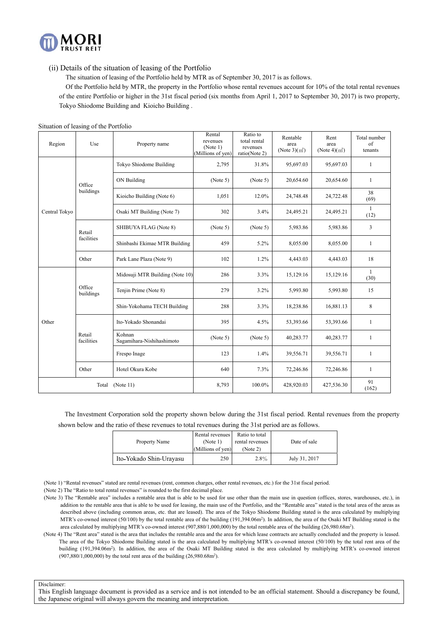

(ii) Details of the situation of leasing of the Portfolio

The situation of leasing of the Portfolio held by MTR as of September 30, 2017 is as follows.

 Of the Portfolio held by MTR, the property in the Portfolio whose rental revenues account for 10% of the total rental revenues of the entire Portfolio or higher in the 31st fiscal period (six months from April 1, 2017 to September 30, 2017) is two property, Tokyo Shiodome Building and Kioicho Building .

| Region        | Use                  | Property name                       | Rental<br>revenues<br>(Note 1)<br>(Millions of yen) | Ratio to<br>total rental<br>revenues<br>ratio(Note 2) | Rentable<br>area<br>(Note $3$ )(m <sup>2</sup> ) | Rent<br>area<br>(Note 4) $(m2)$ | Total number<br>of<br>tenants |
|---------------|----------------------|-------------------------------------|-----------------------------------------------------|-------------------------------------------------------|--------------------------------------------------|---------------------------------|-------------------------------|
|               |                      | Tokyo Shiodome Building             | 2,795                                               | 31.8%                                                 | 95,697.03                                        | 95,697.03                       | 1                             |
|               | Office               | ON Building                         | (Note 5)                                            | (Note 5)                                              | 20,654.60                                        | 20,654.60                       | $\mathbf{1}$                  |
|               | buildings            | Kioicho Building (Note 6)           | 1,051                                               | 12.0%                                                 | 24,748.48                                        | 24,722.48                       | 38<br>(69)                    |
| Central Tokyo |                      | Osaki MT Building (Note 7)          | 302                                                 | 3.4%                                                  | 24,495.21                                        | 24,495.21                       | 1<br>(12)                     |
|               | Retail               | SHIBUYA FLAG (Note 8)               | (Note 5)                                            | (Note 5)                                              | 5,983.86                                         | 5,983.86                        | 3                             |
|               | facilities           | Shinbashi Ekimae MTR Building       | 459                                                 | 5.2%                                                  | 8,055.00                                         | 8,055.00                        | 1                             |
|               | Other                | Park Lane Plaza (Note 9)            |                                                     | 1.2%                                                  | 4,443.03                                         | 4,443.03                        | 18                            |
|               |                      | Midosuji MTR Building (Note 10)     | 286                                                 | 3.3%                                                  | 15,129.16                                        | 15,129.16                       | 1<br>(30)                     |
|               | Office<br>buildings  | Tenjin Prime (Note 8)               | 279                                                 | 3.2%                                                  | 5,993.80                                         | 5,993.80                        | 15                            |
|               |                      | Shin-Yokohama TECH Building         | 288                                                 | 3.3%                                                  | 18,238.86                                        | 16,881.13                       | 8                             |
| Other         |                      | Ito-Yokado Shonandai                | 395                                                 | 4.5%                                                  | 53,393.66                                        | 53,393.66                       | 1                             |
|               | Retail<br>facilities | Kohnan<br>Sagamihara-Nishihashimoto | (Note 5)                                            | (Note 5)                                              | 40,283.77                                        | 40,283.77                       | 1                             |
|               |                      | Frespo Inage                        | 123                                                 | 1.4%                                                  | 39,556.71                                        | 39,556.71                       | 1                             |
|               | Other                | Hotel Okura Kobe                    | 640                                                 | 7.3%                                                  | 72,246.86                                        | 72,246.86                       | $\mathbf{1}$                  |
|               | Total                | (Note 11)                           | 8,793                                               | 100.0%                                                | 428,920.03                                       | 427,536.30                      | 91<br>(162)                   |

The Investment Corporation sold the property shown below during the 31st fiscal period. Rental revenues from the property shown below and the ratio of these revenues to total revenues during the 31st period are as follows.

| Rental revenues<br>Property Name<br>(Note 1)<br>(Millions of yen) |     | Ratio to total<br>rental revenues<br>(Note 2) | Date of sale  |
|-------------------------------------------------------------------|-----|-----------------------------------------------|---------------|
| Ito-Yokado Shin-Urayasu                                           | 250 | 2.8%                                          | July 31, 2017 |

(Note 1) "Rental revenues" stated are rental revenues (rent, common charges, other rental revenues, etc.) for the 31st fiscal period.

(Note 2) The "Ratio to total rental revenues" is rounded to the first decimal place.

- (Note 3) The "Rentable area" includes a rentable area that is able to be used for use other than the main use in question (offices, stores, warehouses, etc.), in addition to the rentable area that is able to be used for leasing, the main use of the Portfolio, and the "Rentable area" stated is the total area of the areas as described above (including common areas, etc. that are leased). The area of the Tokyo Shiodome Building stated is the area calculated by multiplying MTR's co-owned interest (50/100) by the total rentable area of the building (191,394.06m2). In addition, the area of the Osaki MT Building stated is the area calculated by multiplying MTR's co-owned interest (907,880/1,000,000) by the total rentable area of the building (26.980.68m<sup>2</sup>).
- (Note 4) The "Rent area" stated is the area that includes the rentable area and the area for which lease contracts are actually concluded and the property is leased. The area of the Tokyo Shiodome Building stated is the area calculated by multiplying MTR's co-owned interest (50/100) by the total rent area of the building (191,394.06m<sup>2</sup>). In addition, the area of the Osaki MT Building stated is the area calculated by multiplying MTR's co-owned interest (907,880/1,000,000) by the total rent area of the building (26,980.68m2).

Disclaimer: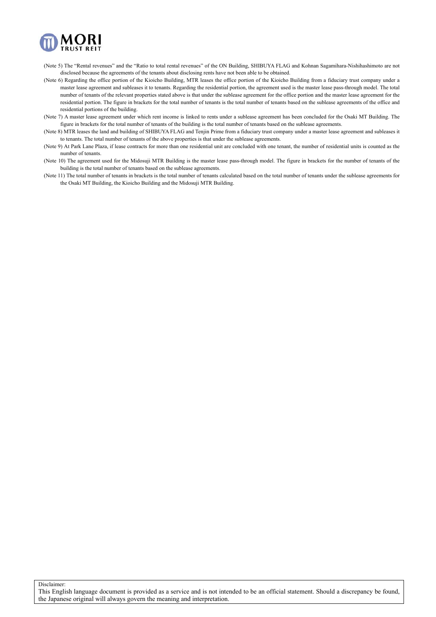

- (Note 5) The "Rental revenues" and the "Ratio to total rental revenues" of the ON Building, SHIBUYA FLAG and Kohnan Sagamihara-Nishihashimoto are not disclosed because the agreements of the tenants about disclosing rents have not been able to be obtained.
- (Note 6) Regarding the office portion of the Kioicho Building, MTR leases the office portion of the Kioicho Building from a fiduciary trust company under a master lease agreement and subleases it to tenants. Regarding the residential portion, the agreement used is the master lease pass-through model. The total number of tenants of the relevant properties stated above is that under the sublease agreement for the office portion and the master lease agreement for the residential portion. The figure in brackets for the total number of tenants is the total number of tenants based on the sublease agreements of the office and residential portions of the building.
- (Note 7) A master lease agreement under which rent income is linked to rents under a sublease agreement has been concluded for the Osaki MT Building. The figure in brackets for the total number of tenants of the building is the total number of tenants based on the sublease agreements.
- (Note 8) MTR leases the land and building of SHIBUYA FLAG and Tenjin Prime from a fiduciary trust company under a master lease agreement and subleases it to tenants. The total number of tenants of the above properties is that under the sublease agreements.
- (Note 9) At Park Lane Plaza, if lease contracts for more than one residential unit are concluded with one tenant, the number of residential units is counted as the number of tenants.
- (Note 10) The agreement used for the Midosuji MTR Building is the master lease pass-through model. The figure in brackets for the number of tenants of the building is the total number of tenants based on the sublease agreements.
- (Note 11) The total number of tenants in brackets is the total number of tenants calculated based on the total number of tenants under the sublease agreements for the Osaki MT Building, the Kioicho Building and the Midosuji MTR Building.

Disclaimer:

This English language document is provided as a service and is not intended to be an official statement. Should a discrepancy be found, the Japanese original will always govern the meaning and interpretation.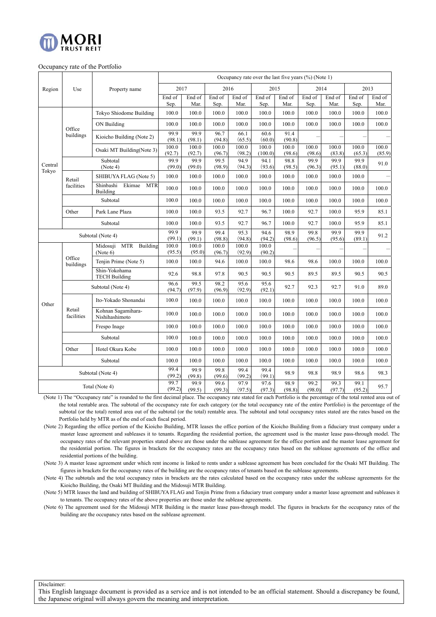

#### Occupancy rate of the Portfolio

|                  |                      |                                                | Occupancy rate over the last five years $(\%)$ (Note 1) |                 |                 |                 |                  |                 |                 |                 |                 |                 |
|------------------|----------------------|------------------------------------------------|---------------------------------------------------------|-----------------|-----------------|-----------------|------------------|-----------------|-----------------|-----------------|-----------------|-----------------|
| Region           | Use                  | Property name                                  | 2017                                                    |                 | 2016            |                 | 2015             |                 | 2014            |                 | 2013            |                 |
|                  |                      |                                                | End of<br>Sep.                                          | End of<br>Mar.  | End of<br>Sep.  | End of<br>Mar.  | End of<br>Sep.   | End of<br>Mar.  | End of<br>Sep.  | End of<br>Mar.  | End of<br>Sep.  | End of<br>Mar.  |
|                  |                      | Tokyo Shiodome Building                        | 100.0                                                   | 100.0           | 100.0           | 100.0           | 100.0            | 100.0           | 100.0           | 100.0           | 100.0           | 100.0           |
|                  |                      | ON Building                                    | 100.0                                                   | 100.0           | 100.0           | 100.0           | 100.0            | 100.0           | 100.0           | 100.0           | 100.0           | 100.0           |
|                  | Office<br>buildings  | Kioicho Building (Note 2)                      | 99.9<br>(98.1)                                          | 99.9<br>(98.1)  | 96.7<br>(94.8)  | 66.1<br>(65.5)  | 60.6<br>(60.0)   | 91.4<br>(90.8)  |                 |                 |                 |                 |
|                  |                      | Osaki MT Building(Note 3)                      | 100.0<br>(92.7)                                         | 100.0<br>(92.7) | 100.0<br>(96.7) | 100.0<br>(98.2) | 100.0<br>(100.0) | 100.0<br>(98.6) | 100.0<br>(98.6) | 100.0<br>(83.8) | 100.0<br>(65.3) | 100.0<br>(85.9) |
| Central<br>Tokyo |                      | Subtotal<br>(Note 4)                           | 99.9<br>(99.0)                                          | 99.9<br>(99.0)  | 99.5<br>(98.9)  | 94.9<br>(94.3)  | 94.1<br>(93.6)   | 98.8<br>(98.5)  | 99.9<br>(96.3)  | 99.9<br>(95.1)  | 99.9<br>(88.0)  | 91.0            |
|                  | Retail               | SHIBUYA FLAG (Note 5)                          | 100.0                                                   | 100.0           | 100.0           | 100.0           | 100.0            | 100.0           | 100.0           | 100.0           | 100.0           |                 |
|                  | facilities           | Shinbashi<br>Ekimae<br><b>MTR</b><br>Building  | 100.0                                                   | 100.0           | 100.0           | 100.0           | 100.0            | 100.0           | 100.0           | 100.0           | 100.0           | 100.0           |
|                  |                      | Subtotal                                       | 100.0                                                   | 100.0           | 100.0           | 100.0           | 100.0            | 100.0           | 100.0           | 100.0           | 100.0           | 100.0           |
|                  | Other                | Park Lane Plaza                                |                                                         | 100.0           | 93.5            | 92.7            | 96.7             | 100.0           | 92.7            | 100.0           | 95.9            | 85.1            |
|                  | Subtotal             |                                                | $100.0\,$                                               | 100.0           | 93.5            | 92.7            | 96.7             | 100.0           | 92.7            | 100.0           | 95.9            | 85.1            |
|                  |                      | Subtotal (Note 4)                              | 99.9<br>(99.1)                                          | 99.9<br>(99.1)  | 99.4<br>(98.8)  | 95.3<br>(94.8)  | 94.6<br>(94.2)   | 98.9<br>(98.6)  | 99.8<br>(96.5)  | 99.9<br>(95.6)  | 99.9<br>(89.1)  | 91.2            |
|                  |                      | <b>MTR</b><br>Building<br>Midosuji<br>(Note 6) | 100.0<br>(95.5)                                         | 100.0<br>(95.0) | 100.0<br>(96.7) | 100.0<br>(92.9) | 100.0<br>(90.2)  |                 |                 |                 |                 |                 |
|                  | Office<br>buildings  | Tenjin Prime (Note 5)                          | 100.0                                                   | 100.0           | 94.6            | 100.0           | 100.0            | 98.6            | 98.6            | 100.0           | 100.0           | 100.0           |
|                  |                      | Shin-Yokohama<br><b>TECH Building</b>          | 92.6                                                    | 98.8            | 97.8            | 90.5            | 90.5             | 90.5            | 89.5            | 89.5            | 90.5            | 90.5            |
|                  |                      | Subtotal (Note 4)                              | 96.6<br>(94.7)                                          | 99.5<br>(97.9)  | 98.2<br>(96.9)  | 95.6<br>(92.9)  | 95.6<br>(92.1)   | 92.7            | 92.3            | 92.7            | 91.0            | 89.0            |
| Other            |                      | Ito-Yokado Shonandai                           | 100.0                                                   | 100.0           | 100.0           | 100.0           | 100.0            | 100.0           | 100.0           | 100.0           | 100.0           | 100.0           |
|                  | Retail<br>facilities | Kohnan Sagamihara-<br>Nishihashimoto           | 100.0                                                   | 100.0           | 100.0           | 100.0           | 100.0            | 100.0           | 100.0           | 100.0           | 100.0           | 100.0           |
|                  |                      | Frespo Inage                                   | 100.0                                                   | 100.0           | 100.0           | 100.0           | 100.0            | 100.0           | 100.0           | 100.0           | 100.0           | 100.0           |
|                  |                      | Subtotal                                       | 100.0                                                   | 100.0           | 100.0           | 100.0           | 100.0            | 100.0           | 100.0           | 100.0           | 100.0           | 100.0           |
|                  | Other                | Hotel Okura Kobe                               | 100.0                                                   | 100.0           | 100.0           | 100.0           | 100.0            | 100.0           | 100.0           | 100.0           | 100.0           | 100.0           |
|                  |                      | Subtotal                                       | 100.0                                                   | 100.0           | 100.0           | 100.0           | 100.0            | 100.0           | 100.0           | 100.0           | 100.0           | 100.0           |
|                  |                      | Subtotal (Note 4)                              | 99.4<br>(99.2)                                          | 99.9<br>(99.8)  | 99.8<br>(99.6)  | 99.4<br>(99.2)  | 99.4<br>(99.1)   | 98.9            | 98.8            | 98.9            | 98.6            | 98.3            |
|                  |                      | Total (Note 4)                                 | 99.7<br>(99.2)                                          | 99.9<br>(99.5)  | 99.6<br>(99.3)  | 97.9<br>(97.5)  | 97.6<br>(97.3)   | 98.9<br>(98.8)  | 99.2<br>(98.0)  | 99.3<br>(97.7)  | 99.1<br>(95.2)  | 95.7            |

(Note 1) The "Occupancy rate" is rounded to the first decimal place. The occupancy rate stated for each Portfolio is the percentage of the total rented area out of the total rentable area. The subtotal of the occupancy rate for each category (or the total occupancy rate of the entire Portfolio) is the percentage of the subtotal (or the total) rented area out of the subtotal (or the total) rentable area. The subtotal and total occupancy rates stated are the rates based on the Portfolio held by MTR as of the end of each fiscal period.

(Note 2) Regarding the office portion of the Kioicho Building, MTR leases the office portion of the Kioicho Building from a fiduciary trust company under a master lease agreement and subleases it to tenants. Regarding the residential portion, the agreement used is the master lease pass-through model. The occupancy rates of the relevant properties stated above are those under the sublease agreement for the office portion and the master lease agreement for the residential portion. The figures in brackets for the occupancy rates are the occupancy rates based on the sublease agreements of the office and residential portions of the building.

(Note 3) A master lease agreement under which rent income is linked to rents under a sublease agreement has been concluded for the Osaki MT Building. The figures in brackets for the occupancy rates of the building are the occupancy rates of tenants based on the sublease agreements.

(Note 4) The subtotals and the total occupancy rates in brackets are the rates calculated based on the occupancy rates under the sublease agreements for the Kioicho Building, the Osaki MT Building and the Midosuji MTR Building.

(Note 5) MTR leases the land and building of SHIBUYA FLAG and Tenjin Prime from a fiduciary trust company under a master lease agreement and subleases it to tenants. The occupancy rates of the above properties are those under the sublease agreements.

(Note 6) The agreement used for the Midosuji MTR Building is the master lease pass-through model. The figures in brackets for the occupancy rates of the building are the occupancy rates based on the sublease agreement.

Disclaimer: